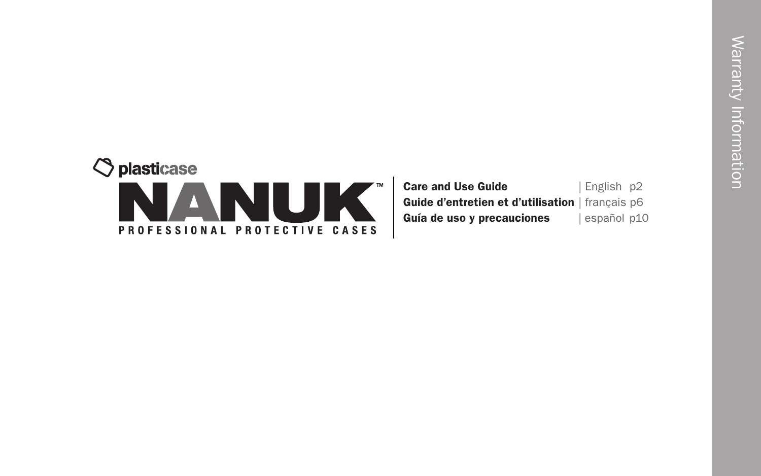

| <b>Care and Use Guide</b>                        | English p2  |
|--------------------------------------------------|-------------|
| Guide d'entretien et d'utilisation   français p6 |             |
| Guía de uso y precauciones                       | español p10 |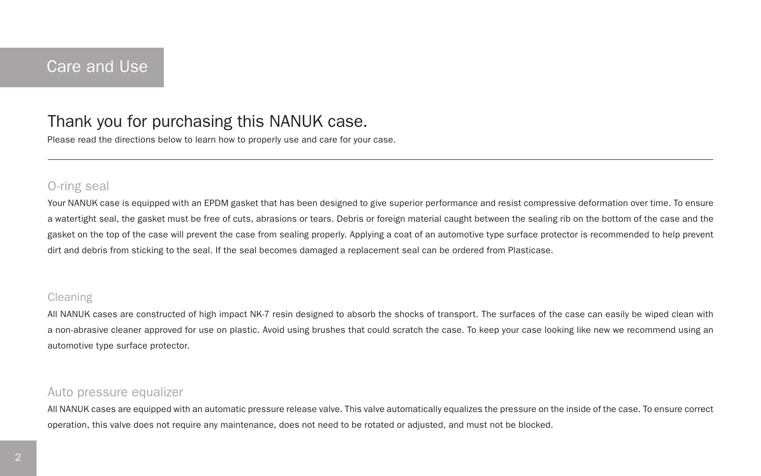# Thank you for purchasing this NANUK case.

Please read the directions below to learn how to properly use and care for your case.

### O-ring seal

Your NANUK case is equipped with an EPDM gasket that has been designed to give superior performance and resist compressive deformation over time. To ensure a watertight seal, the gasket must be free of cuts, abrasions or tears. Debris or foreign material caught between the sealing rib on the bottom of the case and the gasket on the top of the case will prevent the case from sealing properly. Applying a coat of an automotive type surface protector is recommended to help prevent dirt and debris from sticking to the seal. If the seal becomes damaged a replacement seal can be ordered from Plasticase.

### Cleaning

All NANUK cases are constructed of high impact NK-7 resin designed to absorb the shocks of transport. The surfaces of the case can easily be wiped clean with a non-abrasive cleaner approved for use on plastic. Avoid using brushes that could scratch the case. To keep your case looking like new we recommend using an automotive type surface protector.

## Auto pressure equalizer

All NANUK cases are equipped with an automatic pressure release valve. This valve automatically equalizes the pressure on the inside of the case. To ensure correct operation, this valve does not require any maintenance, does not need to be rotated or adjusted, and must not be blocked.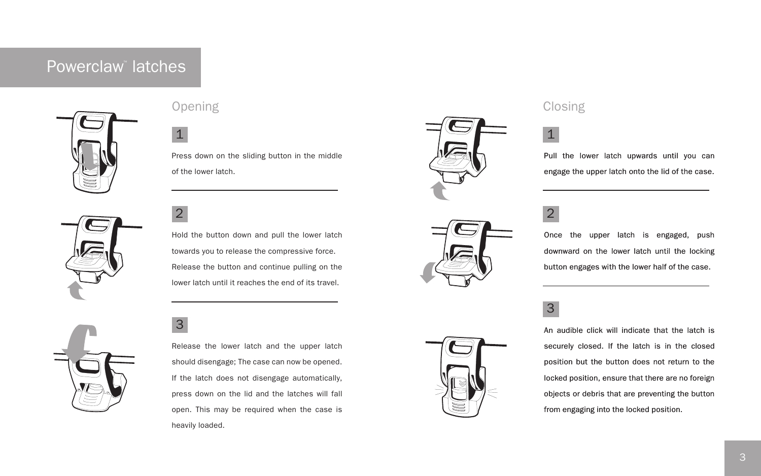# Powerclaw<sup>™</sup> latches



# Opening Closing Contract Closing Closing

Press down on the sliding button in the middle of the lower latch.





Hold the button down and pull the lower latch towards you to release the compressive force. Release the button and continue pulling on the lower latch until it reaches the end of its travel.

3

Release the lower latch and the upper latch should disengage; The case can now be opened. If the latch does not disengage automatically, press down on the lid and the latches will fall open. This may be required when the case is heavily loaded.



Pull the lower latch upwards until you can engage the upper latch onto the lid of the case.



Once the upper latch is engaged, push downward on the lower latch until the locking button engages with the lower half of the case.

3

An audible click will indicate that the latch is securely closed. If the latch is in the closed position but the button does not return to the locked position, ensure that there are no foreign objects or debris that are preventing the button from engaging into the locked position.

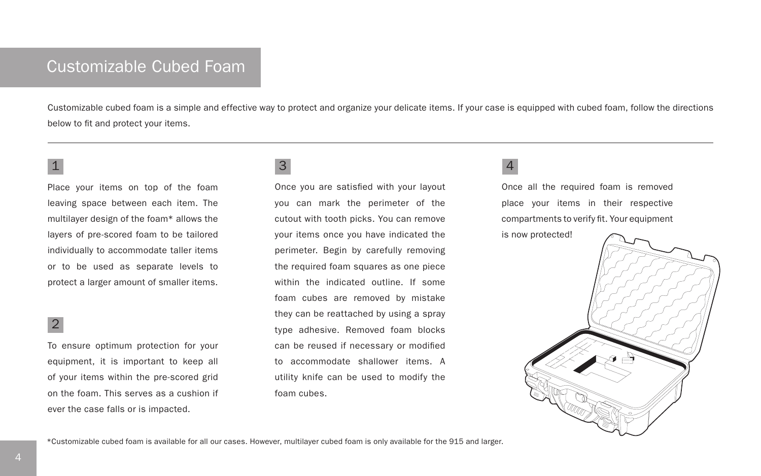# Customizable Cubed Foam

Customizable cubed foam is a simple and effective way to protect and organize your delicate items. If your case is equipped with cubed foam, follow the directions below to fit and protect your items.

Place your items on top of the foam leaving space between each item. The multilayer design of the foam\* allows the layers of pre-scored foam to be tailored individually to accommodate taller items or to be used as separate levels to protect a larger amount of smaller items.

### 2

To ensure optimum protection for your equipment, it is important to keep all of your items within the pre-scored grid on the foam. This serves as a cushion if ever the case falls or is impacted.

### $\frac{1}{3}$  4 3

Once you are satisfied with your layout you can mark the perimeter of the cutout with tooth picks. You can remove your items once you have indicated the perimeter. Begin by carefully removing the required foam squares as one piece within the indicated outline. If some foam cubes are removed by mistake they can be reattached by using a spray type adhesive. Removed foam blocks can be reused if necessary or modified to accommodate shallower items. A utility knife can be used to modify the foam cubes.

Once all the required foam is removed place your items in their respective compartments to verify fit. Your equipment

is now protected!



\*Customizable cubed foam is available for all our cases. However, multilayer cubed foam is only available for the 915 and larger.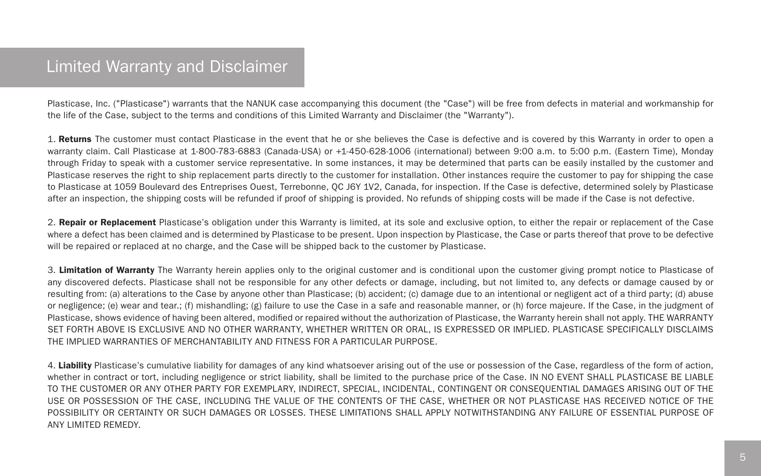# Limited Warranty and Disclaimer

Plasticase, Inc. ("Plasticase") warrants that the NANUK case accompanying this document (the "Case") will be free from defects in material and workmanship for the life of the Case, subject to the terms and conditions of this Limited Warranty and Disclaimer (the "Warranty").

1. Returns The customer must contact Plasticase in the event that he or she believes the Case is defective and is covered by this Warranty in order to open a warranty claim. Call Plasticase at 1-800-783-6883 (Canada-USA) or +1-450-628-1006 (international) between 9:00 a.m. to 5:00 p.m. (Eastern Time), Monday through Friday to speak with a customer service representative. In some instances, it may be determined that parts can be easily installed by the customer and Plasticase reserves the right to ship replacement parts directly to the customer for installation. Other instances require the customer to pay for shipping the case to Plasticase at 1059 Boulevard des Entreprises Ouest, Terrebonne, QC J6Y 1V2, Canada, for inspection. If the Case is defective, determined solely by Plasticase after an inspection, the shipping costs will be refunded if proof of shipping is provided. No refunds of shipping costs will be made if the Case is not defective.

2. Repair or Replacement Plasticase's obligation under this Warranty is limited, at its sole and exclusive option, to either the repair or replacement of the Case where a defect has been claimed and is determined by Plasticase to be present. Upon inspection by Plasticase, the Case or parts thereof that prove to be defective will be repaired or replaced at no charge, and the Case will be shipped back to the customer by Plasticase.

3. Limitation of Warranty The Warranty herein applies only to the original customer and is conditional upon the customer giving prompt notice to Plasticase of any discovered defects. Plasticase shall not be responsible for any other defects or damage, including, but not limited to, any defects or damage caused by or resulting from: (a) alterations to the Case by anyone other than Plasticase; (b) accident; (c) damage due to an intentional or negligent act of a third party; (d) abuse or negligence; (e) wear and tear.; (f) mishandling; (g) failure to use the Case in a safe and reasonable manner, or (h) force majeure. If the Case, in the judgment of Plasticase, shows evidence of having been altered, modified or repaired without the authorization of Plasticase, the Warranty herein shall not apply. THE WARRANTY SET FORTH ABOVE IS EXCLUSIVE AND NO OTHER WARRANTY, WHETHER WRITTEN OR ORAL, IS EXPRESSED OR IMPLIED. PLASTICASE SPECIFICALLY DISCLAIMS THE IMPLIED WARRANTIES OF MERCHANTABILITY AND FITNESS FOR A PARTICULAR PURPOSE.

4. Liability Plasticase's cumulative liability for damages of any kind whatsoever arising out of the use or possession of the Case, regardless of the form of action, whether in contract or tort, including negligence or strict liability, shall be limited to the purchase price of the Case. IN NO EVENT SHALL PLASTICASE BE LIABLE TO THE CUSTOMER OR ANY OTHER PARTY FOR EXEMPLARY, INDIRECT, SPECIAL, INCIDENTAL, CONTINGENT OR CONSEQUENTIAL DAMAGES ARISING OUT OF THE USE OR POSSESSION OF THE CASE, INCLUDING THE VALUE OF THE CONTENTS OF THE CASE, WHETHER OR NOT PLASTICASE HAS RECEIVED NOTICE OF THE POSSIBILITY OR CERTAINTY OR SUCH DAMAGES OR LOSSES. THESE LIMITATIONS SHALL APPLY NOTWITHSTANDING ANY FAILURE OF ESSENTIAL PURPOSE OF ANY LIMITED REMEDY.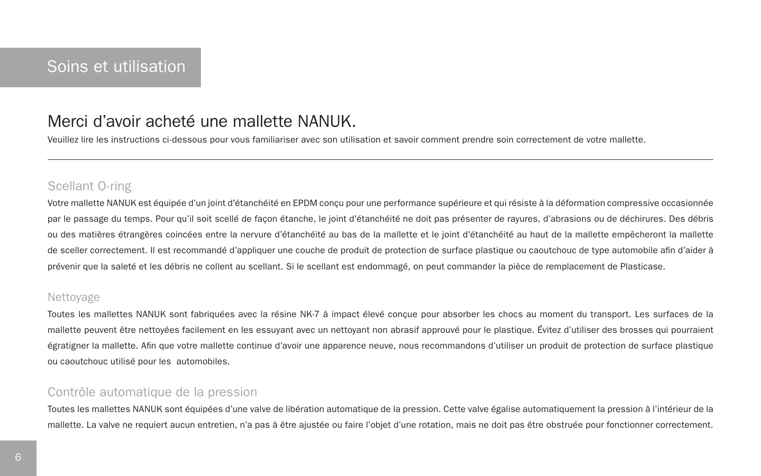# Merci d'avoir acheté une mallette NANUK.

Veuillez lire les instructions ci-dessous pour vous familiariser avec son utilisation et savoir comment prendre soin correctement de votre mallette.

## Scellant O-ring

Votre mallette NANUK est équipée d'un joint d'étanchéité en EPDM conçu pour une performance supérieure et qui résiste à la déformation compressive occasionnée par le passage du temps. Pour qu'il soit scellé de façon étanche, le joint d'étanchéité ne doit pas présenter de rayures, d'abrasions ou de déchirures. Des débris ou des matières étrangères coincées entre la nervure d'étanchéité au bas de la mallette et le joint d'étanchéité au haut de la mallette empêcheront la mallette de sceller correctement. Il est recommandé d'appliquer une couche de produit de protection de surface plastique ou caoutchouc de type automobile afin d'aider à prévenir que la saleté et les débris ne collent au scellant. Si le scellant est endommagé, on peut commander la pièce de remplacement de Plasticase.

### Nettoyage

Toutes les mallettes NANUK sont fabriquées avec la résine NK-7 à impact élevé conçue pour absorber les chocs au moment du transport. Les surfaces de la mallette peuvent être nettoyées facilement en les essuyant avec un nettoyant non abrasif approuvé pour le plastique. Évitez d'utiliser des brosses qui pourraient égratigner la mallette. Afin que votre mallette continue d'avoir une apparence neuve, nous recommandons d'utiliser un produit de protection de surface plastique ou caoutchouc utilisé pour les automobiles.

## Contrôle automatique de la pression

Toutes les mallettes NANUK sont équipées d'une valve de libération automatique de la pression. Cette valve égalise automatiquement la pression à l'intérieur de la mallette. La valve ne requiert aucun entretien, n'a pas à être ajustée ou faire l'objet d'une rotation, mais ne doit pas être obstruée pour fonctionner correctement.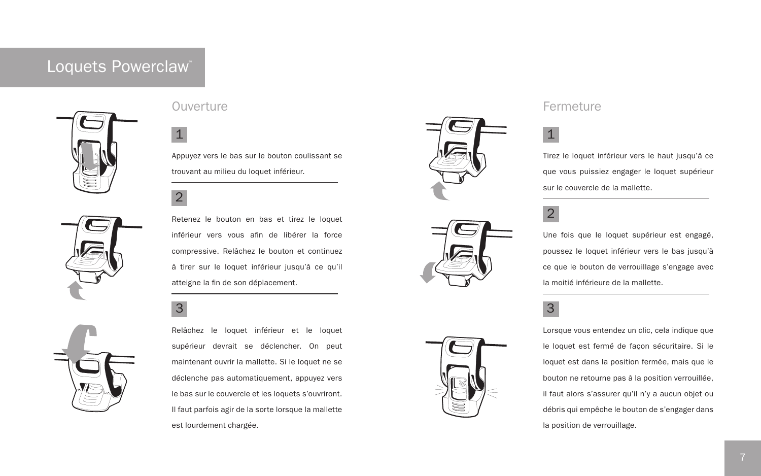# Loquets Powerclaw™







## Ouverture **Fermeture Fermeture Fermeture Fermeture Fermeture**

Appuyez vers le bas sur le bouton coulissant se trouvant au milieu du loquet inférieur.

2

Retenez le bouton en bas et tirez le loquet inférieur vers vous afin de libérer la force compressive. Relâchez le bouton et continuez à tirer sur le loquet inférieur jusqu'à ce qu'il atteigne la fin de son déplacement.

# $3<sup>3</sup>$

Relâchez le loquet inférieur et le loquet supérieur devrait se déclencher. On peut maintenant ouvrir la mallette. Si le loquet ne se déclenche pas automatiquement, appuyez vers le bas sur le couvercle et les loquets s'ouvriront. Il faut parfois agir de la sorte lorsque la mallette est lourdement chargée.





Tirez le loquet inférieur vers le haut jusqu'à ce que vous puissiez engager le loquet supérieur sur le couvercle de la mallette.

# 2

Une fois que le loquet supérieur est engagé, poussez le loquet inférieur vers le bas jusqu'à ce que le bouton de verrouillage s'engage avec la moitié inférieure de la mallette.

Lorsque vous entendez un clic, cela indique que le loquet est fermé de façon sécuritaire. Si le loquet est dans la position fermée, mais que le bouton ne retourne pas à la position verrouillée, il faut alors s'assurer qu'il n'y a aucun objet ou débris qui empêche le bouton de s'engager dans la position de verrouillage.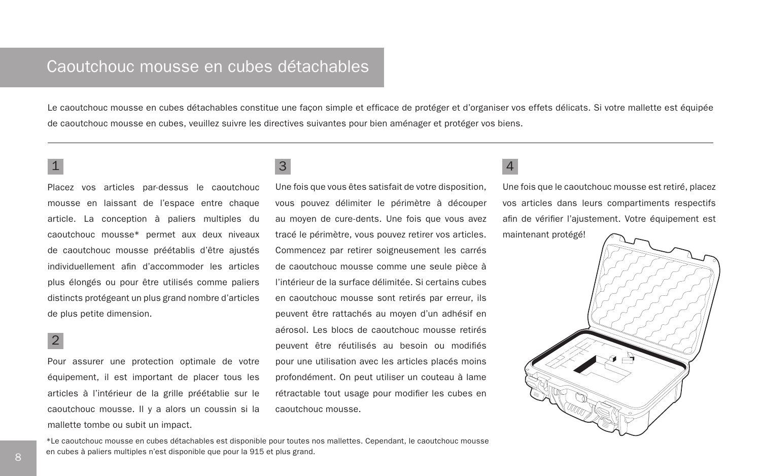# Caoutchouc mousse en cubes détachables

Le caoutchouc mousse en cubes détachables constitue une facon simple et efficace de protéger et d'organiser vos effets délicats. Si votre mallette est équipée de caoutchouc mousse en cubes, veuillez suivre les directives suivantes pour bien aménager et protéger vos biens.

Placez vos articles par-dessus le caoutchouc mousse en laissant de l'espace entre chaque article. La conception à paliers multiples du caoutchouc mousse\* permet aux deux niveaux de caoutchouc mousse préétablis d'être ajustés individuellement afin d'accommoder les articles plus élongés ou pour être utilisés comme paliers distincts protégeant un plus grand nombre d'articles de plus petite dimension.

## 2

Pour assurer une protection optimale de votre équipement, il est important de placer tous les articles à l'intérieur de la grille préétablie sur le caoutchouc mousse. Il y a alors un coussin si la mallette tombe ou subit un impact.

### $\frac{1}{3}$  4 3

Une fois que vous êtes satisfait de votre disposition, vous pouvez délimiter le périmètre à découper au moyen de cure-dents. Une fois que vous avez tracé le périmètre, vous pouvez retirer vos articles. Commencez par retirer soigneusement les carrés de caoutchouc mousse comme une seule pièce à l'intérieur de la surface délimitée. Si certains cubes en caoutchouc mousse sont retirés par erreur, ils peuvent être rattachés au moyen d'un adhésif en aérosol. Les blocs de caoutchouc mousse retirés peuvent être réutilisés au besoin ou modifiés pour une utilisation avec les articles placés moins profondément. On peut utiliser un couteau à lame rétractable tout usage pour modifier les cubes en caoutchouc mousse.

Une fois que le caoutchouc mousse est retiré, placez vos articles dans leurs compartiments respectifs afin de vérifier l'ajustement. Votre équipement est maintenant protégé!



\*Le caoutchouc mousse en cubes détachables est disponible pour toutes nos mallettes. Cependant, le caoutchouc mousse en cubes à paliers multiples n'est disponible que pour la 915 et plus grand.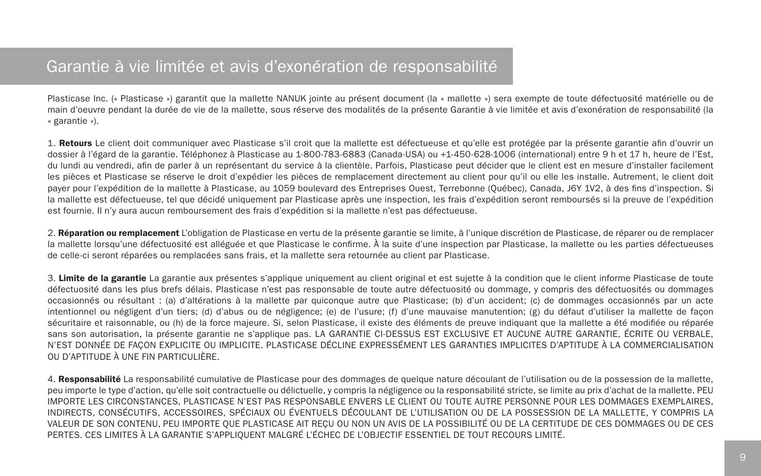# Garantie à vie limitée et avis d'exonération de responsabilité

Plasticase Inc. (« Plasticase ») garantit que la mallette NANUK jointe au présent document (la « mallette ») sera exempte de toute défectuosité matérielle ou de main d'oeuvre pendant la durée de vie de la mallette, sous réserve des modalités de la présente Garantie à vie limitée et avis d'exonération de responsabilité (la « garantie »).

1. Retours Le client doit communiquer avec Plasticase s'il croit que la mallette est défectueuse et qu'elle est protégée par la présente garantie afin d'ouvrir un dossier à l'égard de la garantie. Téléphonez à Plasticase au 1-800-783-6883 (Canada-USA) ou +1-450-628-1006 (international) entre 9 h et 17 h, heure de l'Est, du lundi au vendredi, afin de parler à un représentant du service à la clientèle. Parfois, Plasticase peut décider que le client est en mesure d'installer facilement les pièces et Plasticase se réserve le droit d'expédier les pièces de remplacement directement au client pour qu'il ou elle les installe. Autrement, le client doit payer pour l'expédition de la mallette à Plasticase, au 1059 boulevard des Entreprises Ouest, Terrebonne (Québec), Canada, J6Y 1V2, à des fins d'inspection. Si la mallette est défectueuse, tel que décidé uniquement par Plasticase après une inspection, les frais d'expédition seront remboursés si la preuve de l'expédition est fournie. Il n'y aura aucun remboursement des frais d'expédition si la mallette n'est pas défectueuse.

2. Réparation ou remplacement L'obligation de Plasticase en vertu de la présente garantie se limite, à l'unique discrétion de Plasticase, de réparer ou de remplacer la mallette lorsqu'une défectuosité est alléguée et que Plasticase le confirme. À la suite d'une inspection par Plasticase, la mallette ou les parties défectueuses de celle-ci seront réparées ou remplacées sans frais, et la mallette sera retournée au client par Plasticase.

3. Limite de la garantie La garantie aux présentes s'applique uniquement au client original et est sujette à la condition que le client informe Plasticase de toute défectuosité dans les plus brefs délais. Plasticase n'est pas responsable de toute autre défectuosité ou dommage, y compris des défectuosités ou dommages occasionnés ou résultant : (a) d'altérations à la mallette par quiconque autre que Plasticase; (b) d'un accident; (c) de dommages occasionnés par un acte intentionnel ou négligent d'un tiers; (d) d'abus ou de négligence; (e) de l'usure; (f) d'une mauvaise manutention; (g) du défaut d'utiliser la mallette de façon sécuritaire et raisonnable, ou (h) de la force majeure. Si, selon Plasticase, il existe des éléments de preuve indiquant que la mallette a été modifiée ou réparée sans son autorisation, la présente garantie ne s'applique pas. LA GARANTIE CI-DESSUS EST EXCLUSIVE ET AUCUNE AUTRE GARANTIE, ÉCRITE OU VERBALE, N'EST DONNÉE DE FAÇON EXPLICITE OU IMPLICITE. PLASTICASE DÉCLINE EXPRESSÉMENT LES GARANTIES IMPLICITES D'APTITUDE À LA COMMERCIALISATION OU D'APTITUDE À UNE FIN PARTICULIÈRE.

4. Responsabilité La responsabilité cumulative de Plasticase pour des dommages de quelque nature découlant de l'utilisation ou de la possession de la mallette, peu importe le type d'action, qu'elle soit contractuelle ou délictuelle, y compris la négligence ou la responsabilité stricte, se limite au prix d'achat de la mallette. PEU IMPORTE LES CIRCONSTANCES, PLASTICASE N'EST PAS RESPONSABLE ENVERS LE CLIENT OU TOUTE AUTRE PERSONNE POUR LES DOMMAGES EXEMPLAIRES, INDIRECTS, CONSÉCUTIFS, ACCESSOIRES, SPÉCIAUX OU ÉVENTUELS DÉCOULANT DE L'UTILISATION OU DE LA POSSESSION DE LA MALLETTE, Y COMPRIS LA VALEUR DE SON CONTENU, PEU IMPORTE QUE PLASTICASE AIT REÇU OU NON UN AVIS DE LA POSSIBILITÉ OU DE LA CERTITUDE DE CES DOMMAGES OU DE CES PERTES. CES LIMITES À LA GARANTIE S'APPLIQUENT MALGRÉ L'ÉCHEC DE L'OBJECTIF ESSENTIEL DE TOUT RECOURS LIMITÉ.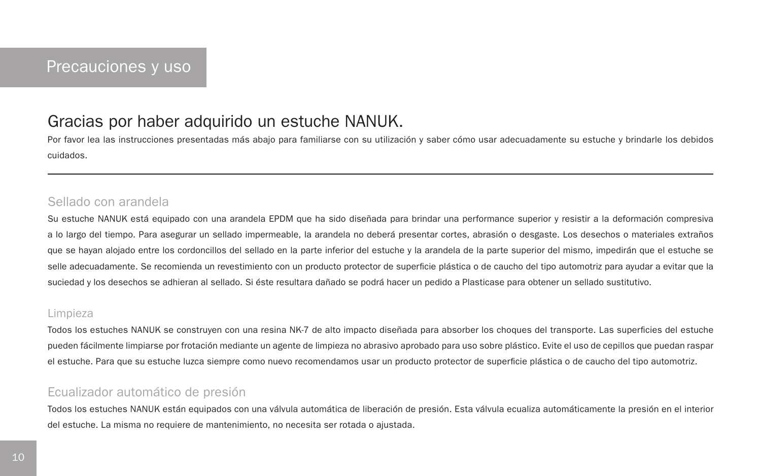# Gracias por haber adquirido un estuche NANUK.

Por favor lea las instrucciones presentadas más abajo para familiarse con su utilización y saber cómo usar adecuadamente su estuche y brindarle los debidos cuidados.

### Sellado con arandela

Su estuche NANUK está equipado con una arandela EPDM que ha sido diseñada para brindar una performance superior y resistir a la deformación compresiva a lo largo del tiempo. Para asegurar un sellado impermeable, la arandela no deberá presentar cortes, abrasión o desgaste. Los desechos o materiales extraños que se hayan alojado entre los cordoncillos del sellado en la parte inferior del estuche y la arandela de la parte superior del mismo, impedirán que el estuche se selle adecuadamente. Se recomienda un revestimiento con un producto protector de superficie plástica o de caucho del tipo automotriz para ayudar a evitar que la suciedad y los desechos se adhieran al sellado. Si éste resultara dañado se podrá hacer un pedido a Plasticase para obtener un sellado sustitutivo.

### Limpieza

Todos los estuches NANUK se construyen con una resina NK-7 de alto impacto diseñada para absorber los choques del transporte. Las superficies del estuche pueden fácilmente limpiarse por frotación mediante un agente de limpieza no abrasivo aprobado para uso sobre plástico. Evite el uso de cepillos que puedan raspar el estuche. Para que su estuche luzca siempre como nuevo recomendamos usar un producto protector de superficie plástica o de caucho del tipo automotriz.

## Ecualizador automático de presión

Todos los estuches NANUK están equipados con una válvula automática de liberación de presión. Esta válvula ecualiza automáticamente la presión en el interior del estuche. La misma no requiere de mantenimiento, no necesita ser rotada o ajustada.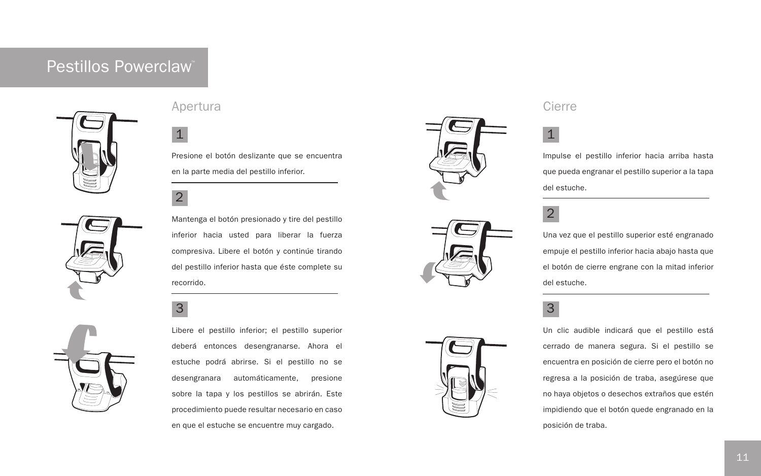# Pestillos Powerclaw™







Presione el botón deslizante que se encuentra en la parte media del pestillo inferior.

2

Mantenga el botón presionado y tire del pestillo inferior hacia usted para liberar la fuerza compresiva. Libere el botón y continúe tirando del pestillo inferior hasta que éste complete su recorrido.

# $3<sup>3</sup>$



Libere el pestillo inferior; el pestillo superior deberá entonces desengranarse. Ahora el estuche podrá abrirse. Si el pestillo no se desengranara automáticamente, presione sobre la tapa y los pestillos se abrirán. Este procedimiento puede resultar necesario en caso en que el estuche se encuentre muy cargado.





Impulse el pestillo inferior hacia arriba hasta que pueda engranar el pestillo superior a la tapa del estuche.

# 2

Una vez que el pestillo superior esté engranado empuje el pestillo inferior hacia abajo hasta que el botón de cierre engrane con la mitad inferior del estuche.

Un clic audible indicará que el pestillo está cerrado de manera segura. Si el pestillo se encuentra en posición de cierre pero el botón no regresa a la posición de traba, asegúrese que no haya objetos o desechos extraños que estén impidiendo que el botón quede engranado en la posición de traba.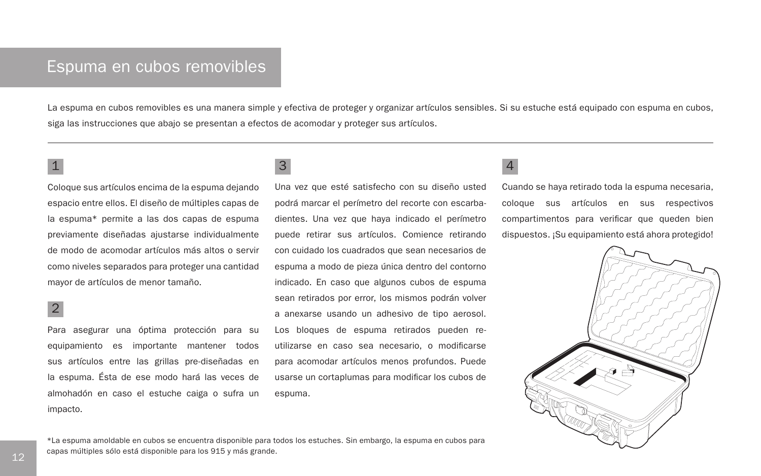# Espuma en cubos removibles

La espuma en cubos removibles es una manera simple y efectiva de proteger y organizar artículos sensibles. Si su estuche está equipado con espuma en cubos, siga las instrucciones que abajo se presentan a efectos de acomodar y proteger sus artículos.

Coloque sus artículos encima de la espuma dejando espacio entre ellos. El diseño de múltiples capas de la espuma\* permite a las dos capas de espuma previamente diseñadas ajustarse individualmente de modo de acomodar artículos más altos o servir como niveles separados para proteger una cantidad mayor de artículos de menor tamaño.

## 2

Para asegurar una óptima protección para su equipamiento es importante mantener todos sus artículos entre las grillas pre-diseñadas en la espuma. Ésta de ese modo hará las veces de almohadón en caso el estuche caiga o sufra un impacto.

### $\frac{1}{3}$  4 3

Una vez que esté satisfecho con su diseño usted podrá marcar el perímetro del recorte con escarbadientes. Una vez que haya indicado el perímetro puede retirar sus artículos. Comience retirando con cuidado los cuadrados que sean necesarios de espuma a modo de pieza única dentro del contorno indicado. En caso que algunos cubos de espuma sean retirados por error, los mismos podrán volver a anexarse usando un adhesivo de tipo aerosol. Los bloques de espuma retirados pueden reutilizarse en caso sea necesario, o modificarse para acomodar artículos menos profundos. Puede usarse un cortaplumas para modificar los cubos de espuma.

Cuando se haya retirado toda la espuma necesaria, coloque sus artículos en sus respectivos compartimentos para verificar que queden bien dispuestos. ¡Su equipamiento está ahora protegido!



\*La espuma amoldable en cubos se encuentra disponible para todos los estuches. Sin embargo, la espuma en cubos para capas múltiples sólo está disponible para los 915 y más grande.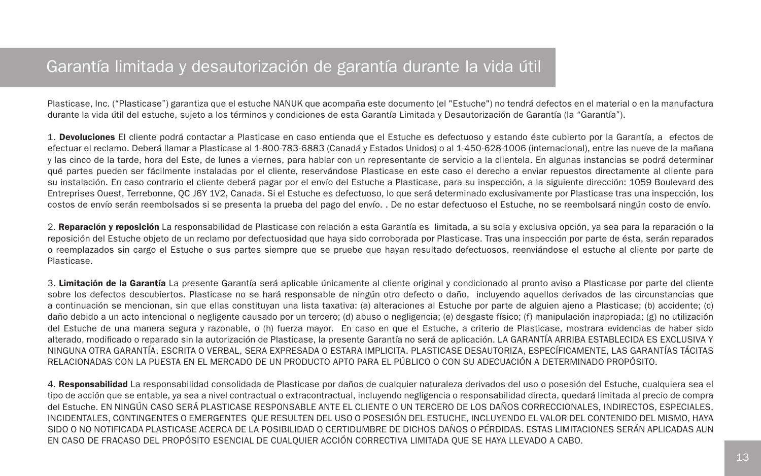# Garantía limitada y desautorización de garantía durante la vida útil

Plasticase, Inc. ("Plasticase") garantiza que el estuche NANUK que acompaña este documento (el "Estuche") no tendrá defectos en el material o en la manufactura durante la vida útil del estuche, sujeto a los términos y condiciones de esta Garantía Limitada y Desautorización de Garantía (la "Garantía").

1. Devoluciones El cliente podrá contactar a Plasticase en caso entienda que el Estuche es defectuoso y estando éste cubierto por la Garantía, a efectos de efectuar el reclamo. Deberá llamar a Plasticase al 1-800-783-6883 (Canadá y Estados Unidos) o al 1-450-628-1006 (internacional), entre las nueve de la mañana y las cinco de la tarde, hora del Este, de lunes a viernes, para hablar con un representante de servicio a la clientela. En algunas instancias se podrá determinar qué partes pueden ser fácilmente instaladas por el cliente, reservándose Plasticase en este caso el derecho a enviar repuestos directamente al cliente para su instalación. En caso contrario el cliente deberá pagar por el envío del Estuche a Plasticase, para su inspección, a la siguiente dirección: 1059 Boulevard des Entreprises Ouest, Terrebonne, QC J6Y 1V2, Canada. Si el Estuche es defectuoso, lo que será determinado exclusivamente por Plasticase tras una inspección, los costos de envío serán reembolsados si se presenta la prueba del pago del envío. . De no estar defectuoso el Estuche, no se reembolsará ningún costo de envío.

2. Reparación y reposición La responsabilidad de Plasticase con relación a esta Garantía es limitada, a su sola y exclusiva opción, ya sea para la reparación o la reposición del Estuche objeto de un reclamo por defectuosidad que haya sido corroborada por Plasticase. Tras una inspección por parte de ésta, serán reparados o reemplazados sin cargo el Estuche o sus partes siempre que se pruebe que hayan resultado defectuosos, reenviándose el estuche al cliente por parte de Plasticase.

3. Limitación de la Garantía La presente Garantía será aplicable únicamente al cliente original y condicionado al pronto aviso a Plasticase por parte del cliente sobre los defectos descubiertos. Plasticase no se hará responsable de ningún otro defecto o daño, incluyendo aquellos derivados de las circunstancias que a continuación se mencionan, sin que ellas constituyan una lista taxativa: (a) alteraciones al Estuche por parte de alguien ajeno a Plasticase; (b) accidente; (c) daño debido a un acto intencional o negligente causado por un tercero; (d) abuso o negligencia; (e) desgaste físico; (f) manipulación inapropiada; (g) no utilización del Estuche de una manera segura y razonable, o (h) fuerza mayor. En caso en que el Estuche, a criterio de Plasticase, mostrara evidencias de haber sido alterado, modificado o reparado sin la autorización de Plasticase, la presente Garantía no será de aplicación. LA GARANTÍA ARRIBA ESTABLECIDA ES EXCLUSIVA Y NINGUNA OTRA GARANTÍA, ESCRITA O VERBAL, SERA EXPRESADA O ESTARA IMPLICITA. PLASTICASE DESAUTORIZA, ESPECÍFICAMENTE, LAS GARANTÍAS TÁCITAS RELACIONADAS CON LA PUESTA EN EL MERCADO DE UN PRODUCTO APTO PARA EL PÚBLICO O CON SU ADECUACIÓN A DETERMINADO PROPÓSITO.

4. Responsabilidad La responsabilidad consolidada de Plasticase por daños de cualquier naturaleza derivados del uso o posesión del Estuche, cualquiera sea el tipo de acción que se entable, ya sea a nivel contractual o extracontractual, incluyendo negligencia o responsabilidad directa, quedará limitada al precio de compra del Estuche. EN NINGÚN CASO SERÁ PLASTICASE RESPONSABLE ANTE EL CLIENTE O UN TERCERO DE LOS DAÑOS CORRECCIONALES, INDIRECTOS, ESPECIALES, INCIDENTALES, CONTINGENTES O EMERGENTES QUE RESULTEN DEL USO O POSESIÓN DEL ESTUCHE, INCLUYENDO EL VALOR DEL CONTENIDO DEL MISMO, HAYA SIDO O NO NOTIFICADA PLASTICASE ACERCA DE LA POSIBILIDAD O CERTIDUMBRE DE DICHOS DAÑOS O PÉRDIDAS. ESTAS LIMITACIONES SERÁN APLICADAS AUN EN CASO DE FRACASO DEL PROPÓSITO ESENCIAL DE CUALQUIER ACCIÓN CORRECTIVA LIMITADA QUE SE HAYA LLEVADO A CABO.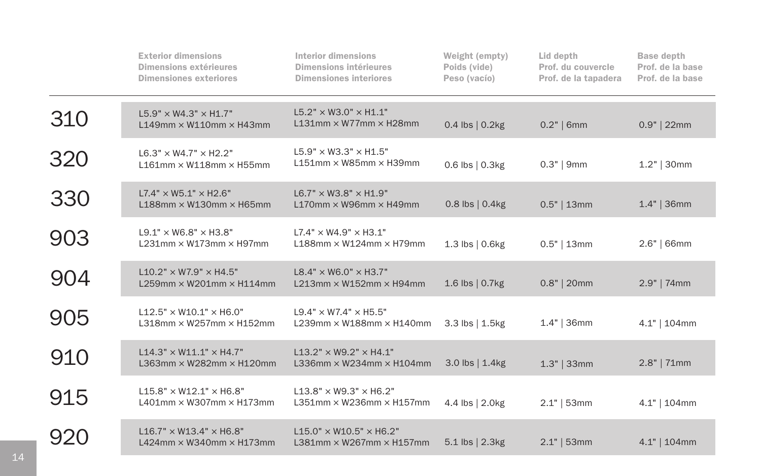|     | <b>Exterior dimensions</b><br>Dimensions extérieures<br><b>Dimensiones exteriores</b> | <b>Interior dimensions</b><br>Dimensions intérieures<br><b>Dimensiones interiores</b> | Weight (empty)<br>Poids (vide)<br>Peso (vacío) | Lid depth<br>Prof. du couvercle<br>Prof. de la tapadera | <b>Base depth</b><br>Prof. de la base<br>Prof. de la base |
|-----|---------------------------------------------------------------------------------------|---------------------------------------------------------------------------------------|------------------------------------------------|---------------------------------------------------------|-----------------------------------------------------------|
| 310 | L5.9" × W4.3" × H1.7"<br>$L149$ mm $\times$ W110mm $\times$ H43mm                     | $L5.2" \times W3.0" \times H1.1"$<br>$L131$ mm $\times$ W77mm $\times$ H28mm          | $0.4$ lbs $\vert 0.2$ kg                       | $0.2"$   6mm                                            | $0.9"$   22mm                                             |
| 320 | $L6.3" \times W4.7" \times H2.2"$<br>$L161$ mm $\times$ W118mm $\times$ H55mm         | $L5.9" \times W3.3" \times H1.5"$<br>$L151$ mm $\times$ W85mm $\times$ H39mm          | $0.6$ lbs $\vert 0.3$ kg                       | $0.3"$   9mm                                            | $1.2"$ 30mm                                               |
| 330 | $L7.4" \times W5.1" \times H2.6"$<br>$L188$ mm $\times$ W130mm $\times$ H65mm         | $L6.7" \times W3.8" \times H1.9"$<br>$L170$ mm $\times$ W96mm $\times$ H49mm          | $0.8$ lbs $\vert 0.4$ kg                       | $0.5"$   13mm                                           | $1.4"$   36mm                                             |
| 903 | $L9.1" \times W6.8" \times H3.8"$<br>$L231$ mm $\times$ W173mm $\times$ H97mm         | $L7.4" \times W4.9" \times H3.1"$<br>$L188$ mm $\times$ W124mm $\times$ H79mm         | 1.3 lbs   0.6kg                                | $0.5"$   13mm                                           | $2.6"$   66mm                                             |
| 904 | $L10.2" \times W7.9" \times H4.5"$<br>$L259$ mm $\times$ W201mm $\times$ H114mm       | $L8.4" \times W6.0" \times H3.7"$<br>$L213$ mm $\times$ W152mm $\times$ H94mm         | 1.6 lbs   0.7kg                                | $0.8"$   20mm                                           | $2.9"$   74mm                                             |
| 905 | $L12.5" \times W10.1" \times H6.0"$<br>$L318$ mm $\times$ W257mm $\times$ H152mm      | $L9.4" \times W7.4" \times H5.5"$<br>L239mm $\times$ W188mm $\times$ H140mm           | 3.3 lbs   1.5kg                                | $1.4"$ 36mm                                             | 4.1"   104mm                                              |
| 910 | $L14.3" \times W11.1" \times H4.7"$<br>L363mm $\times$ W282mm $\times$ H120mm         | $L13.2" \times W9.2" \times H4.1"$<br>L336mm $\times$ W234mm $\times$ H104mm          | $3.0$ lbs $\vert 1.4$ kg                       | $1.3"$   33mm                                           | $2.8"$   71mm                                             |
| 915 | $L15.8" \times W12.1" \times H6.8"$<br>L401mm $\times$ W307mm $\times$ H173mm         | $L13.8" \times W9.3" \times H6.2"$<br>$L351$ mm $\times$ W236mm $\times$ H157mm       | 4.4 lbs   2.0kg                                | $2.1"$   53mm                                           | 4.1"   104mm                                              |
| 920 | $L16.7" \times W13.4" \times H6.8"$<br>L424mm $\times$ W340mm $\times$ H173mm         | $L15.0" \times W10.5" \times H6.2"$<br>$L381$ mm $\times$ W267mm $\times$ H157mm      | 5.1 lbs   2.3kg                                | $2.1"$   53mm                                           | $4.1"$   104mm                                            |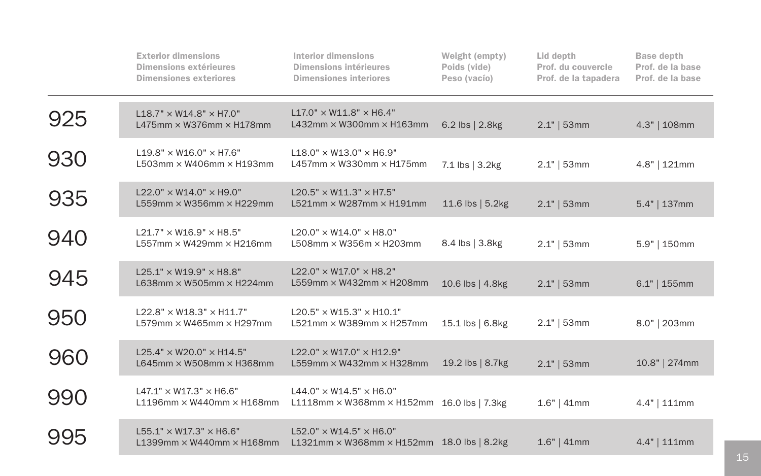|     | <b>Exterior dimensions</b><br>Dimensions extérieures<br><b>Dimensiones exteriores</b> | <b>Interior dimensions</b><br><b>Dimensions intérieures</b><br><b>Dimensiones interiores</b>    | Weight (empty)<br>Poids (vide)<br>Peso (vacío) | Lid depth<br>Prof. du couvercle<br>Prof. de la tapadera | <b>Base depth</b><br>Prof. de la base<br>Prof. de la base |
|-----|---------------------------------------------------------------------------------------|-------------------------------------------------------------------------------------------------|------------------------------------------------|---------------------------------------------------------|-----------------------------------------------------------|
| 925 | $L18.7" \times W14.8" \times H7.0"$<br>L475mm $\times$ W376mm $\times$ H178mm         | $L17.0'' \times W11.8'' \times H6.4''$<br>L432mm $\times$ W300mm $\times$ H163mm                | $6.2$ lbs $\vert 2.8$ kg                       | $2.1"$   53mm                                           | 4.3"   108mm                                              |
| 930 | $L19.8" \times W16.0" \times H7.6"$<br>L503mm $\times$ W406mm $\times$ H193mm         | $L18.0" \times W13.0" \times H6.9"$<br>L457mm $\times$ W330mm $\times$ H175mm                   | 7.1 lbs   3.2kg                                | $2.1"$   53mm                                           | $4.8"$   121mm                                            |
| 935 | L22.0" × W14.0" × H9.0"<br>L559mm $\times$ W356mm $\times$ H229mm                     | $L20.5" \times W11.3" \times H7.5"$<br>L521mm × W287mm × H191mm                                 | 11.6 lbs $  5.2$ kg                            | $2.1"$   53mm                                           | $5.4"$   137mm                                            |
| 940 | $L21.7" \times W16.9" \times H8.5"$<br>L557mm × W429mm × H216mm                       | $L20.0" \times W14.0" \times H8.0"$<br>L508mm $\times$ W356m $\times$ H203mm                    | 8.4 lbs   3.8kg                                | $2.1"$   53mm                                           | 5.9"   150mm                                              |
| 945 | $L25.1" \times W19.9" \times H8.8"$<br>L638mm $\times$ W505mm $\times$ H224mm         | $L22.0" \times W17.0" \times H8.2"$<br>L559mm $\times$ W432mm $\times$ H208mm                   | 10.6 lbs   4.8kg                               | $2.1"$   53mm                                           | $6.1"$   155mm                                            |
| 950 | $L22.8" \times W18.3" \times H11.7"$<br>L579mm $\times$ W465mm $\times$ H297mm        | $L20.5" \times W15.3" \times H10.1"$<br>L521mm × W389mm × H257mm                                | 15.1 lbs   6.8kg                               | $2.1"$   53mm                                           | 8.0"   203mm                                              |
| 960 | $L25.4" \times W20.0" \times H14.5"$<br>L645mm $\times$ W508mm $\times$ H368mm        | $L22.0" \times W17.0" \times H12.9"$<br>L559mm $\times$ W432mm $\times$ H328mm                  | 19.2 lbs $ 8.7$ kg                             | $2.1"$   53mm                                           | 10.8"   274mm                                             |
| 990 | $L47.1" \times W17.3" \times H6.6"$<br>$L1196$ mm $\times$ W440mm $\times$ H168mm     | $L44.0" \times W14.5" \times H6.0"$<br>L1118mm $\times$ W368mm $\times$ H152mm 16.0 lbs   7.3kg |                                                | $1.6"$   41mm                                           | $4.4"$   111mm                                            |
| 995 | $L55.1" \times W17.3" \times H6.6"$<br>$L1399$ mm $\times$ W440mm $\times$ H168mm     | $L52.0" \times W14.5" \times H6.0"$<br>L1321mm $\times$ W368mm $\times$ H152mm 18.0 lbs   8.2kg |                                                | $1.6"$   41mm                                           | $4.4"$   111mm                                            |